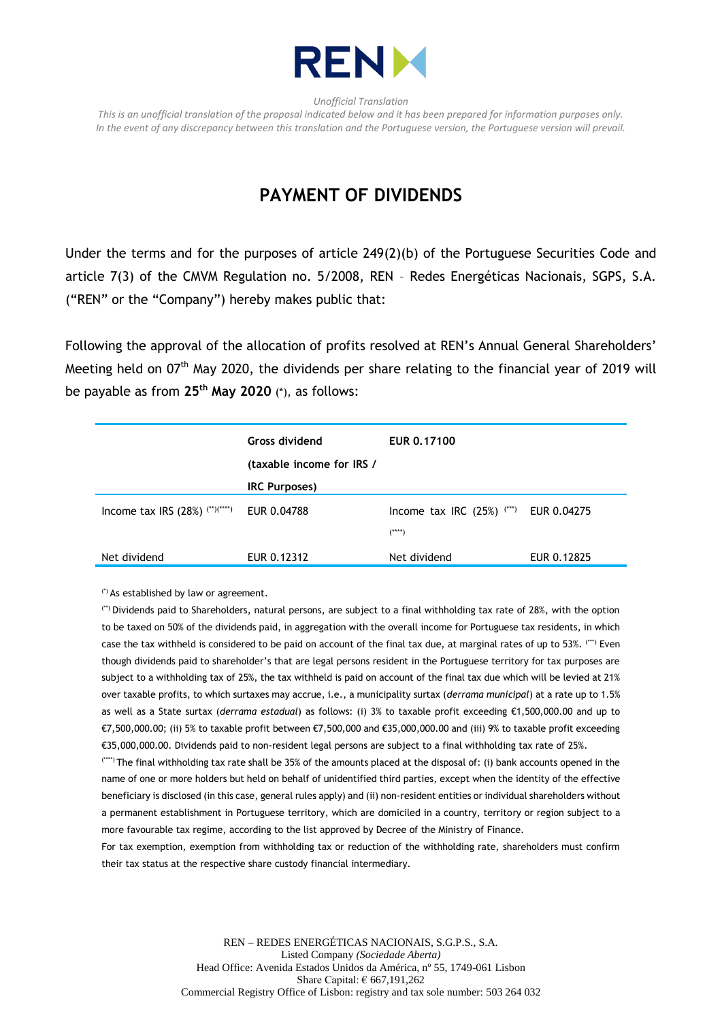

*Unofficial Translation*

*This is an unofficial translation of the proposal indicated below and it has been prepared for information purposes only. In the event of any discrepancy between this translation and the Portuguese version, the Portuguese version will prevail.*

## **PAYMENT OF DIVIDENDS**

Under the terms and for the purposes of article 249(2)(b) of the Portuguese Securities Code and article 7(3) of the CMVM Regulation no. 5/2008, REN – Redes Energéticas Nacionais, SGPS, S.A. ("REN" or the "Company") hereby makes public that:

Following the approval of the allocation of profits resolved at REN's Annual General Shareholders' Meeting held on 07<sup>th</sup> May 2020, the dividends per share relating to the financial year of 2019 will be payable as from **25 th May 2020** (\*), as follows:

|                                                  | <b>Gross dividend</b><br>(taxable income for IRS / | EUR 0.17100                             |             |
|--------------------------------------------------|----------------------------------------------------|-----------------------------------------|-------------|
|                                                  | <b>IRC Purposes)</b>                               |                                         |             |
| Income tax IRS (28%) $(1)$ <sup>(**)(****)</sup> | EUR 0.04788                                        | Income tax IRC $(25%)$ <sup>(***)</sup> | EUR 0.04275 |
|                                                  |                                                    | (****)                                  |             |
| Net dividend                                     | EUR 0.12312                                        | Net dividend                            | EUR 0.12825 |

(\*) As established by law or agreement.

(\*\*) Dividends paid to Shareholders, natural persons, are subject to a final withholding tax rate of 28%, with the option to be taxed on 50% of the dividends paid, in aggregation with the overall income for Portuguese tax residents, in which case the tax withheld is considered to be paid on account of the final tax due, at marginal rates of up to 53%. (\*\*\*) Even though dividends paid to shareholder's that are legal persons resident in the Portuguese territory for tax purposes are subject to a withholding tax of 25%, the tax withheld is paid on account of the final tax due which will be levied at 21% over taxable profits, to which surtaxes may accrue, i.e., a municipality surtax (*derrama municipal*) at a rate up to 1.5% as well as a State surtax (*derrama estadual*) as follows: (i) 3% to taxable profit exceeding €1,500,000.00 and up to €7,500,000.00; (ii) 5% to taxable profit between €7,500,000 and €35,000,000.00 and (iii) 9% to taxable profit exceeding €35,000,000.00. Dividends paid to non-resident legal persons are subject to a final withholding tax rate of 25%.

(\*\*\*\*) The final withholding tax rate shall be 35% of the amounts placed at the disposal of: (i) bank accounts opened in the name of one or more holders but held on behalf of unidentified third parties, except when the identity of the effective beneficiary is disclosed (in this case, general rules apply) and (ii) non-resident entities or individual shareholders without a permanent establishment in Portuguese territory, which are domiciled in a country, territory or region subject to a more favourable tax regime, according to the list approved by Decree of the Ministry of Finance.

For tax exemption, exemption from withholding tax or reduction of the withholding rate, shareholders must confirm their tax status at the respective share custody financial intermediary.